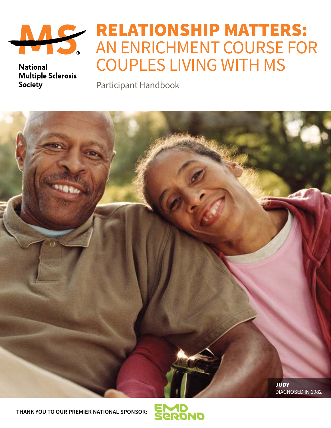

**National Multiple Sclerosis** Society

# RELATIONSHIP MATTERS: AN ENRICHMENT COURSE FOR COUPLES LIVING WITH MS

Participant Handbook



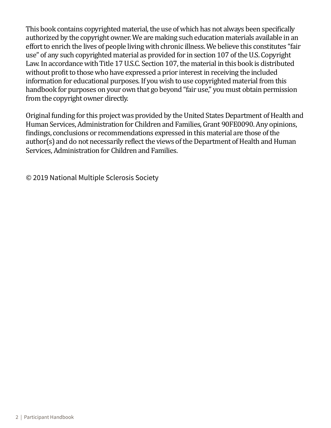This book contains copyrighted material, the use of which has not always been specifically authorized by the copyright owner. We are making such education materials available in an effort to enrich the lives of people living with chronic illness. We believe this constitutes "fair use" of any such copyrighted material as provided for in section 107 of the U.S. Copyright Law. In accordance with Title 17 U.S.C. Section 107, the material in this book is distributed without profit to those who have expressed a prior interest in receiving the included information for educational purposes. If you wish to use copyrighted material from this handbook for purposes on your own that go beyond "fair use," you must obtain permission from the copyright owner directly.

Original funding for this project was provided by the United States Department of Health and Human Services, Administration for Children and Families, Grant 90FE0090. Any opinions, findings, conclusions or recommendations expressed in this material are those of the author(s) and do not necessarily reflect the views of the Department of Health and Human Services, Administration for Children and Families.

© 2019 National Multiple Sclerosis Society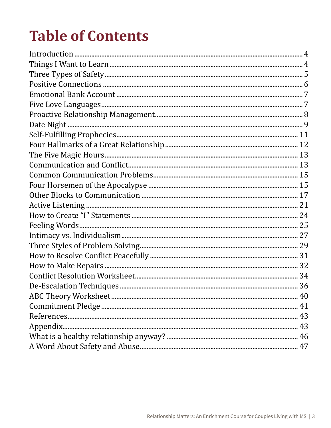# **Table of Contents**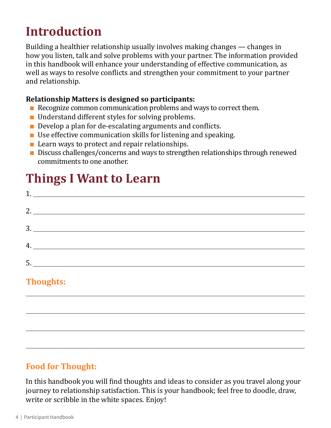# <span id="page-3-0"></span>**Introduction**

Building a healthier relationship usually involves making changes — changes in how you listen, talk and solve problems with your partner. The information provided in this handbook will enhance your understanding of effective communication, as well as ways to resolve conflicts and strengthen your commitment to your partner and relationship.

#### **Relationship Matters is designed so participants:**

- Recognize common communication problems and ways to correct them.
- Understand different styles for solving problems.
- Develop a plan for de-escalating arguments and conflicts.
- $\blacksquare$  Use effective communication skills for listening and speaking.
- Learn ways to protect and repair relationships.
- Discuss challenges/concerns and ways to strengthen relationships through renewed commitments to one another.

# **Things I Want to Learn**

| 4. |
|----|
|    |
|    |
|    |

## **Thoughts:**

## **Food for Thought:**

In this handbook you will find thoughts and ideas to consider as you travel along your journey to relationship satisfaction. This is your handbook; feel free to doodle, draw, write or scribble in the white spaces. Enjoy!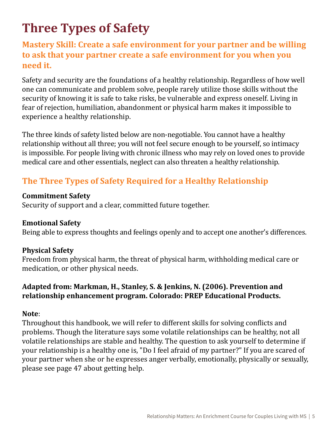# <span id="page-4-0"></span>**Three Types of Safety**

## **Mastery Skill: Create a safe environment for your partner and be willing to ask that your partner create a safe environment for you when you need it.**

Safety and security are the foundations of a healthy relationship. Regardless of how well one can communicate and problem solve, people rarely utilize those skills without the security of knowing it is safe to take risks, be vulnerable and express oneself. Living in fear of rejection, humiliation, abandonment or physical harm makes it impossible to experience a healthy relationship.

The three kinds of safety listed below are non-negotiable. You cannot have a healthy relationship without all three; you will not feel secure enough to be yourself, so intimacy is impossible. For people living with chronic illness who may rely on loved ones to provide medical care and other essentials, neglect can also threaten a healthy relationship.

## **The Three Types of Safety Required for a Healthy Relationship**

#### **Commitment Safety**

Security of support and a clear, committed future together.

#### **Emotional Safety**

Being able to express thoughts and feelings openly and to accept one another's differences.

#### **Physical Safety**

Freedom from physical harm, the threat of physical harm, withholding medical care or medication, or other physical needs.

#### **Adapted from: Markman, H., Stanley, S. & Jenkins, N. (2006). Prevention and relationship enhancement program. Colorado: PREP Educational Products.**

#### **Note**:

Throughout this handbook, we will refer to different skills for solving conflicts and problems. Though the literature says some volatile relationships can be healthy, not all volatile relationships are stable and healthy. The question to ask yourself to determine if your relationship is a healthy one is, "Do I feel afraid of my partner?" If you are scared of your partner when she or he expresses anger verbally, emotionally, physically or sexually, please see page 47 about getting help.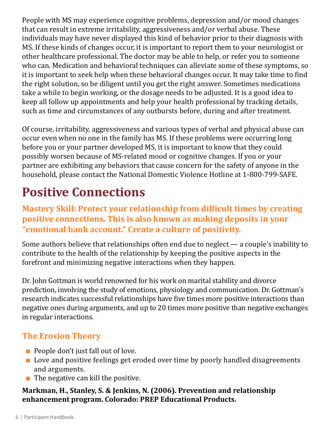<span id="page-5-0"></span>People with MS may experience cognitive problems, depression and/or mood changes that can result in extreme irritability, aggressiveness and/or verbal abuse. These individuals may have never displayed this kind of behavior prior to their diagnosis with MS. If these kinds of changes occur, it is important to report them to your neurologist or other healthcare professional. The doctor may be able to help, or refer you to someone who can. Medication and behavioral techniques can alleviate some of these symptoms, so it is important to seek help when these behavioral changes occur. It may take time to find the right solution, so be diligent until you get the right answer. Sometimes medications take a while to begin working, or the dosage needs to be adjusted. It is a good idea to keep all follow up appointments and help your health professional by tracking details, such as time and circumstances of any outbursts before, during and after treatment.

Of course, irritability, aggressiveness and various types of verbal and physical abuse can occur even when no one in the family has MS. If these problems were occurring long before you or your partner developed MS, it is important to know that they could possibly worsen because of MS-related mood or cognitive changes. If you or your partner are exhibiting any behaviors that cause concern for the safety of anyone in the household, please contact the National Domestic Violence Hotline at 1-800-799-SAFE.

# **Positive Connections**

**Mastery Skill: Protect your relationship from difficult times by creating positive connections. This is also known as making deposits in your "emotional bank account." Create a culture of positivity.**

Some authors believe that relationships often end due to neglect — a couple's inability to contribute to the health of the relationship by keeping the positive aspects in the forefront and minimizing negative interactions when they happen.

Dr. John Gottman is world renowned for his work on marital stability and divorce prediction, involving the study of emotions, physiology and communication. Dr. Gottman's research indicates successful relationships have five times more positive interactions than negative ones during arguments, and up to 20 times more positive than negative exchanges in regular interactions.

## **The Erosion Theory**

- People don't just fall out of love.
- Love and positive feelings get eroded over time by poorly handled disagreements and arguments.
- $\blacksquare$  The negative can kill the positive.

#### **Markman, H., Stanley, S. & Jenkins, N. (2006). Prevention and relationship enhancement program. Colorado: PREP Educational Products.**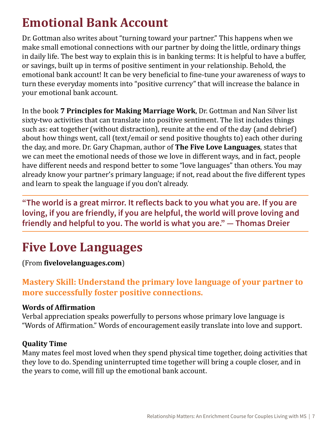# <span id="page-6-0"></span>**Emotional Bank Account**

Dr. Gottman also writes about "turning toward your partner." This happens when we make small emotional connections with our partner by doing the little, ordinary things in daily life. The best way to explain this is in banking terms: It is helpful to have a buffer, or savings, built up in terms of positive sentiment in your relationship. Behold, the emotional bank account! It can be very beneficial to fine-tune your awareness of ways to turn these everyday moments into "positive currency" that will increase the balance in your emotional bank account.

In the book **7 Principles for Making Marriage Work**, Dr. Gottman and Nan Silver list sixty-two activities that can translate into positive sentiment. The list includes things such as: eat together (without distraction), reunite at the end of the day (and debrief) about how things went, call (text/email or send positive thoughts to) each other during the day, and more. Dr. Gary Chapman, author of **The Five Love Languages**, states that we can meet the emotional needs of those we love in different ways, and in fact, people have different needs and respond better to some "love languages" than others. You may already know your partner's primary language; if not, read about the five different types and learn to speak the language if you don't already.

**"The world is a great mirror. It reflects back to you what you are. If you are loving, if you are friendly, if you are helpful, the world will prove loving and friendly and helpful to you. The world is what you are." — Thomas Dreier**

# **Five Love Languages**

(From **[fivelovelanguages.com](http://fivelovelanguages.com)**)

## **Mastery Skill: Understand the primary love language of your partner to more successfully foster positive connections.**

#### **Words of Affirmation**

Verbal appreciation speaks powerfully to persons whose primary love language is "Words of Affirmation." Words of encouragement easily translate into love and support.

#### **Quality Time**

Many mates feel most loved when they spend physical time together, doing activities that they love to do. Spending uninterrupted time together will bring a couple closer, and in the years to come, will fill up the emotional bank account.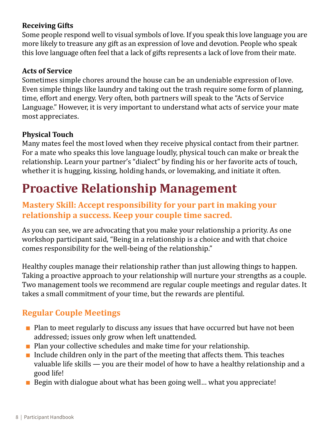#### <span id="page-7-0"></span>**Receiving Gifts**

Some people respond well to visual symbols of love. If you speak this love language you are more likely to treasure any gift as an expression of love and devotion. People who speak this love language often feel that a lack of gifts represents a lack of love from their mate.

#### **Acts of Service**

Sometimes simple chores around the house can be an undeniable expression of love. Even simple things like laundry and taking out the trash require some form of planning, time, effort and energy. Very often, both partners will speak to the "Acts of Service Language." However, it is very important to understand what acts of service your mate most appreciates.

#### **Physical Touch**

Many mates feel the most loved when they receive physical contact from their partner. For a mate who speaks this love language loudly, physical touch can make or break the relationship. Learn your partner's "dialect" by finding his or her favorite acts of touch, whether it is hugging, kissing, holding hands, or lovemaking, and initiate it often.

# **Proactive Relationship Management**

## **Mastery Skill: Accept responsibility for your part in making your relationship a success. Keep your couple time sacred.**

As you can see, we are advocating that you make your relationship a priority. As one workshop participant said, "Being in a relationship is a choice and with that choice comes responsibility for the well-being of the relationship."

Healthy couples manage their relationship rather than just allowing things to happen. Taking a proactive approach to your relationship will nurture your strengths as a couple. Two management tools we recommend are regular couple meetings and regular dates. It takes a small commitment of your time, but the rewards are plentiful.

## **Regular Couple Meetings**

- Plan to meet regularly to discuss any issues that have occurred but have not been addressed; issues only grow when left unattended.
- Plan your collective schedules and make time for your relationship.
- $\blacksquare$  Include children only in the part of the meeting that affects them. This teaches valuable life skills — you are their model of how to have a healthy relationship and a good life!
- $\blacksquare$  Begin with dialogue about what has been going well... what you appreciate!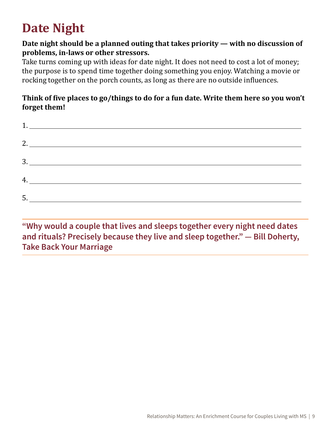# <span id="page-8-0"></span>**Date Night**

#### **Date night should be a planned outing that takes priority — with no discussion of problems, in-laws or other stressors.**

Take turns coming up with ideas for date night. It does not need to cost a lot of money; the purpose is to spend time together doing something you enjoy. Watching a movie or rocking together on the porch counts, as long as there are no outside influences.

#### **Think of five places to go/things to do for a fun date. Write them here so you won't forget them!**

|    | 1.                                                 |
|----|----------------------------------------------------|
|    |                                                    |
|    |                                                    |
|    |                                                    |
|    |                                                    |
|    |                                                    |
| 5. | <u> 1980 - John Stein, Amerikaansk politiker (</u> |
|    |                                                    |

**"Why would a couple that lives and sleeps together every night need dates and rituals? Precisely because they live and sleep together." — Bill Doherty, Take Back Your Marriage**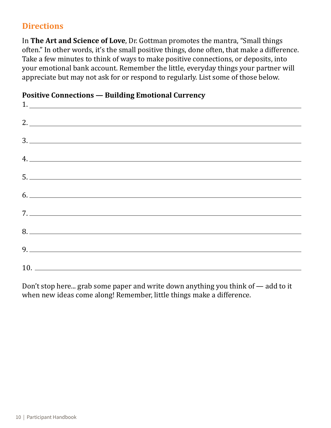## **Directions**

In **The Art and Science of Love**, Dr. Gottman promotes the mantra, "Small things often." In other words, it's the small positive things, done often, that make a difference. Take a few minutes to think of ways to make positive connections, or deposits, into your emotional bank account. Remember the little, everyday things your partner will appreciate but may not ask for or respond to regularly. List some of those below.

| rositive connections – Bunung Binotionul currency |  |  |
|---------------------------------------------------|--|--|
|                                                   |  |  |
|                                                   |  |  |
| 2.                                                |  |  |
|                                                   |  |  |
|                                                   |  |  |
|                                                   |  |  |
| $4.$ $\overline{\phantom{a}}$                     |  |  |
|                                                   |  |  |
|                                                   |  |  |
|                                                   |  |  |
|                                                   |  |  |
| 6.                                                |  |  |
|                                                   |  |  |
|                                                   |  |  |
|                                                   |  |  |
|                                                   |  |  |
|                                                   |  |  |
|                                                   |  |  |
|                                                   |  |  |
|                                                   |  |  |
|                                                   |  |  |

#### **Positive Connections — Building Emotional Currency**

Don't stop here... grab some paper and write down anything you think of — add to it when new ideas come along! Remember, little things make a difference.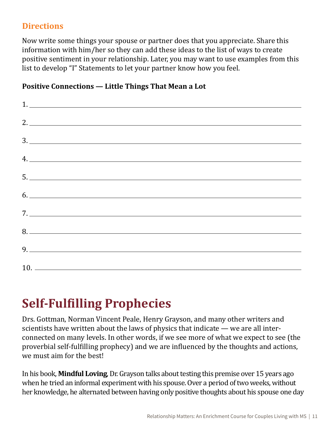## <span id="page-10-0"></span>**Directions**

Now write some things your spouse or partner does that you appreciate. Share this information with him/her so they can add these ideas to the list of ways to create positive sentiment in your relationship. Later, you may want to use examples from this list to develop "I" Statements to let your partner know how you feel.

#### **Positive Connections — Little Things That Mean a Lot**

| $\begin{array}{c} \n \begin{array}{c} \n 1. & \longrightarrow & \n \end{array} \n \end{array}$ |  |  |
|------------------------------------------------------------------------------------------------|--|--|
| 2.                                                                                             |  |  |
| 3.                                                                                             |  |  |
|                                                                                                |  |  |
| 4.                                                                                             |  |  |
| 5.                                                                                             |  |  |
|                                                                                                |  |  |
|                                                                                                |  |  |
| 8.                                                                                             |  |  |
|                                                                                                |  |  |
|                                                                                                |  |  |

# **Self-Fulfilling Prophecies**

Drs. Gottman, Norman Vincent Peale, Henry Grayson, and many other writers and scientists have written about the laws of physics that indicate — we are all interconnected on many levels. In other words, if we see more of what we expect to see (the proverbial self-fulfilling prophecy) and we are influenced by the thoughts and actions, we must aim for the best!

In his book, **Mindful Loving**, Dr. Grayson talks about testing this premise over 15 years ago when he tried an informal experiment with his spouse. Over a period of two weeks, without her knowledge, he alternated between having only positive thoughts about his spouse one day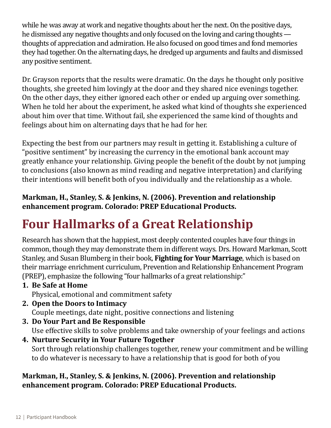<span id="page-11-0"></span>while he was away at work and negative thoughts about her the next. On the positive days, he dismissed any negative thoughts and only focused on the loving and caring thoughts thoughts of appreciation and admiration. He also focused on good times and fond memories they had together. On the alternating days, he dredged up arguments and faults and dismissed any positive sentiment.

Dr. Grayson reports that the results were dramatic. On the days he thought only positive thoughts, she greeted him lovingly at the door and they shared nice evenings together. On the other days, they either ignored each other or ended up arguing over something. When he told her about the experiment, he asked what kind of thoughts she experienced about him over that time. Without fail, she experienced the same kind of thoughts and feelings about him on alternating days that he had for her.

Expecting the best from our partners may result in getting it. Establishing a culture of "positive sentiment" by increasing the currency in the emotional bank account may greatly enhance your relationship. Giving people the benefit of the doubt by not jumping to conclusions (also known as mind reading and negative interpretation) and clarifying their intentions will benefit both of you individually and the relationship as a whole.

#### **Markman, H., Stanley, S. & Jenkins, N. (2006). Prevention and relationship enhancement program. Colorado: PREP Educational Products.**

# **Four Hallmarks of a Great Relationship**

Research has shown that the happiest, most deeply contented couples have four things in common, though they may demonstrate them in different ways. Drs. Howard Markman, Scott Stanley, and Susan Blumberg in their book, **Fighting for Your Marriage**, which is based on their marriage enrichment curriculum, Prevention and Relationship Enhancement Program (PREP), emphasize the following "four hallmarks of a great relationship:"

- **1. Be Safe at Home** Physical, emotional and commitment safety
- **2. Open the Doors to Intimacy** Couple meetings, date night, positive connections and listening
- **3. Do Your Part and Be Responsible** Use effective skills to solve problems and take ownership of your feelings and actions
- **4. Nurture Security in Your Future Together** Sort through relationship challenges together, renew your commitment and be willing to do whatever is necessary to have a relationship that is good for both of you

#### **Markman, H., Stanley, S. & Jenkins, N. (2006). Prevention and relationship enhancement program. Colorado: PREP Educational Products.**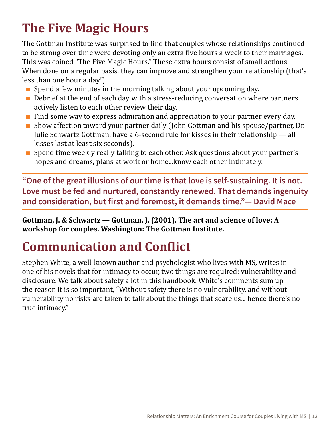# <span id="page-12-0"></span>**The Five Magic Hours**

The Gottman Institute was surprised to find that couples whose relationships continued to be strong over time were devoting only an extra five hours a week to their marriages. This was coined "The Five Magic Hours." These extra hours consist of small actions. When done on a regular basis, they can improve and strengthen your relationship (that's less than one hour a day!).

- $\blacksquare$  Spend a few minutes in the morning talking about your upcoming day.
- $\blacksquare$  Debrief at the end of each day with a stress-reducing conversation where partners actively listen to each other review their day.
- Find some way to express admiration and appreciation to your partner every day.
- Show affection toward your partner daily (John Gottman and his spouse/partner, Dr. Julie Schwartz Gottman, have a 6-second rule for kisses in their relationship — all kisses last at least six seconds).
- Spend time weekly really talking to each other. Ask questions about your partner's hopes and dreams, plans at work or home...know each other intimately.

**"One of the great illusions of our time is that love is self-sustaining. It is not. Love must be fed and nurtured, constantly renewed. That demands ingenuity and consideration, but first and foremost, it demands time."— David Mace**

**Gottman, J. & Schwartz — Gottman, J. (2001). The art and science of love: A workshop for couples. Washington: The Gottman Institute.**

# **Communication and Conflict**

Stephen White, a well-known author and psychologist who lives with MS, writes in one of his novels that for intimacy to occur, two things are required: vulnerability and disclosure. We talk about safety a lot in this handbook. White's comments sum up the reason it is so important, "Without safety there is no vulnerability, and without vulnerability no risks are taken to talk about the things that scare us... hence there's no true intimacy."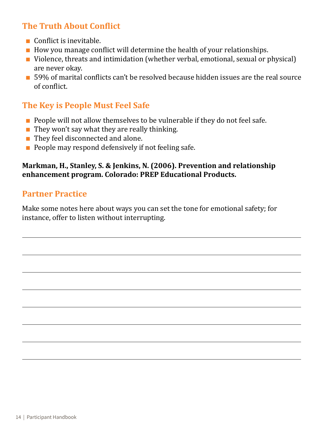## **The Truth About Conflict**

- Conflict is inevitable.
- $\blacksquare$  How you manage conflict will determine the health of your relationships.
- Violence, threats and intimidation (whether verbal, emotional, sexual or physical) are never okay.
- 59% of marital conflicts can't be resolved because hidden issues are the real source of conflict.

## **The Key is People Must Feel Safe**

- People will not allow themselves to be vulnerable if they do not feel safe.
- $\blacksquare$  They won't say what they are really thinking.
- They feel disconnected and alone.
- $\blacksquare$  People may respond defensively if not feeling safe.

#### **Markman, H., Stanley, S. & Jenkins, N. (2006). Prevention and relationship enhancement program. Colorado: PREP Educational Products.**

#### **Partner Practice**

Make some notes here about ways you can set the tone for emotional safety; for instance, offer to listen without interrupting.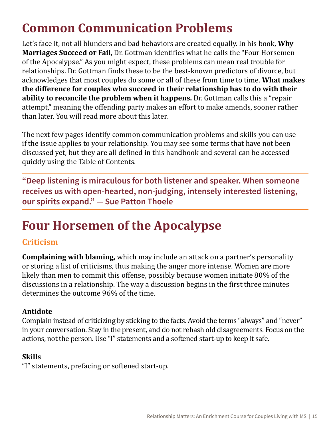# <span id="page-14-0"></span>**Common Communication Problems**

Let's face it, not all blunders and bad behaviors are created equally. In his book, **Why Marriages Succeed or Fail**, Dr. Gottman identifies what he calls the "Four Horsemen of the Apocalypse." As you might expect, these problems can mean real trouble for relationships. Dr. Gottman finds these to be the best-known predictors of divorce, but acknowledges that most couples do some or all of these from time to time. **What makes the difference for couples who succeed in their relationship has to do with their ability to reconcile the problem when it happens.** Dr. Gottman calls this a "repair attempt," meaning the offending party makes an effort to make amends, sooner rather than later. You will read more about this later.

The next few pages identify common communication problems and skills you can use if the issue applies to your relationship. You may see some terms that have not been discussed yet, but they are all defined in this handbook and several can be accessed quickly using the Table of Contents.

**"Deep listening is miraculous for both listener and speaker. When someone receives us with open-hearted, non-judging, intensely interested listening, our spirits expand." — Sue Patton Thoele**

# **Four Horsemen of the Apocalypse**

## **Criticism**

**Complaining with blaming,** which may include an attack on a partner's personality or storing a list of criticisms, thus making the anger more intense. Women are more likely than men to commit this offense, possibly because women initiate 80% of the discussions in a relationship. The way a discussion begins in the first three minutes determines the outcome 96% of the time.

#### **Antidote**

Complain instead of criticizing by sticking to the facts. Avoid the terms "always" and "never" in your conversation. Stay in the present, and do not rehash old disagreements. Focus on the actions, not the person. Use "I" statements and a softened start-up to keep it safe.

#### **Skills**

"I" statements, prefacing or softened start-up.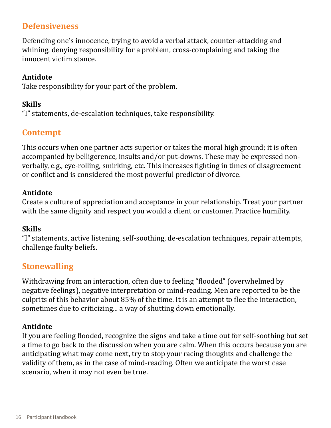#### **Defensiveness**

Defending one's innocence, trying to avoid a verbal attack, counter-attacking and whining, denying responsibility for a problem, cross-complaining and taking the innocent victim stance.

#### **Antidote**

Take responsibility for your part of the problem.

#### **Skills**

"I" statements, de-escalation techniques, take responsibility.

## **Contempt**

This occurs when one partner acts superior or takes the moral high ground; it is often accompanied by belligerence, insults and/or put-downs. These may be expressed nonverbally, e.g., eye-rolling, smirking, etc. This increases fighting in times of disagreement or conflict and is considered the most powerful predictor of divorce.

#### **Antidote**

Create a culture of appreciation and acceptance in your relationship. Treat your partner with the same dignity and respect you would a client or customer. Practice humility.

#### **Skills**

"I" statements, active listening, self-soothing, de-escalation techniques, repair attempts, challenge faulty beliefs.

## **Stonewalling**

Withdrawing from an interaction, often due to feeling "flooded" (overwhelmed by negative feelings), negative interpretation or mind-reading. Men are reported to be the culprits of this behavior about 85% of the time. It is an attempt to flee the interaction, sometimes due to criticizing... a way of shutting down emotionally.

#### **Antidote**

If you are feeling flooded, recognize the signs and take a time out for self-soothing but set a time to go back to the discussion when you are calm. When this occurs because you are anticipating what may come next, try to stop your racing thoughts and challenge the validity of them, as in the case of mind-reading. Often we anticipate the worst case scenario, when it may not even be true.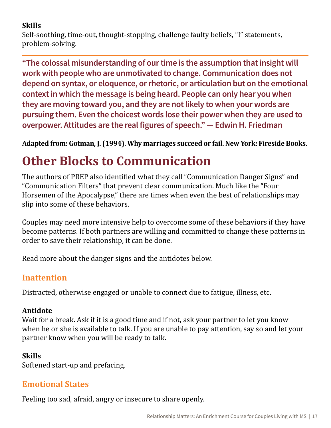#### <span id="page-16-0"></span>**Skills**

Self-soothing, time-out, thought-stopping, challenge faulty beliefs, "I" statements, problem-solving.

**"The colossal misunderstanding of our time is the assumption that insight will work with people who are unmotivated to change. Communication does not depend on syntax, or eloquence, or rhetoric, or articulation but on the emotional context in which the message is being heard. People can only hear you when they are moving toward you, and they are not likely to when your words are pursuing them. Even the choicest words lose their power when they are used to overpower. Attitudes are the real figures of speech." — Edwin H. Friedman**

**Adapted from: Gotman, J. (1994). Why marriages succeed or fail. New York: Fireside Books.**

# **Other Blocks to Communication**

The authors of PREP also identified what they call "Communication Danger Signs" and "Communication Filters" that prevent clear communication. Much like the "Four Horsemen of the Apocalypse," there are times when even the best of relationships may slip into some of these behaviors.

Couples may need more intensive help to overcome some of these behaviors if they have become patterns. If both partners are willing and committed to change these patterns in order to save their relationship, it can be done.

Read more about the danger signs and the antidotes below.

## **Inattention**

Distracted, otherwise engaged or unable to connect due to fatigue, illness, etc.

## **Antidote**

Wait for a break. Ask if it is a good time and if not, ask your partner to let you know when he or she is available to talk. If you are unable to pay attention, say so and let your partner know when you will be ready to talk.

## **Skills**

Softened start-up and prefacing.

## **Emotional States**

Feeling too sad, afraid, angry or insecure to share openly.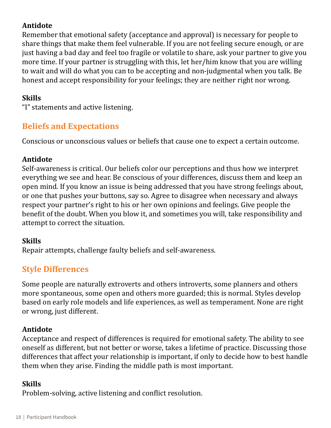#### **Antidote**

Remember that emotional safety (acceptance and approval) is necessary for people to share things that make them feel vulnerable. If you are not feeling secure enough, or are just having a bad day and feel too fragile or volatile to share, ask your partner to give you more time. If your partner is struggling with this, let her/him know that you are willing to wait and will do what you can to be accepting and non-judgmental when you talk. Be honest and accept responsibility for your feelings; they are neither right nor wrong.

#### **Skills**

"I" statements and active listening.

## **Beliefs and Expectations**

Conscious or unconscious values or beliefs that cause one to expect a certain outcome.

#### **Antidote**

Self-awareness is critical. Our beliefs color our perceptions and thus how we interpret everything we see and hear. Be conscious of your differences, discuss them and keep an open mind. If you know an issue is being addressed that you have strong feelings about, or one that pushes your buttons, say so. Agree to disagree when necessary and always respect your partner's right to his or her own opinions and feelings. Give people the benefit of the doubt. When you blow it, and sometimes you will, take responsibility and attempt to correct the situation.

#### **Skills**

Repair attempts, challenge faulty beliefs and self-awareness.

## **Style Differences**

Some people are naturally extroverts and others introverts, some planners and others more spontaneous, some open and others more guarded; this is normal. Styles develop based on early role models and life experiences, as well as temperament. None are right or wrong, just different.

## **Antidote**

Acceptance and respect of differences is required for emotional safety. The ability to see oneself as different, but not better or worse, takes a lifetime of practice. Discussing those differences that affect your relationship is important, if only to decide how to best handle them when they arise. Finding the middle path is most important.

#### **Skills**

Problem-solving, active listening and conflict resolution.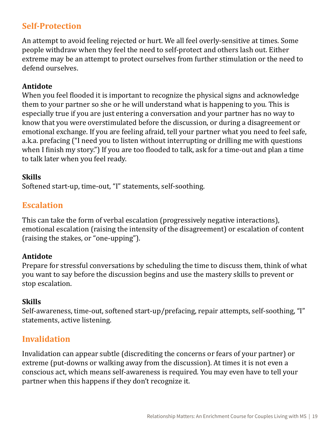## **Self-Protection**

An attempt to avoid feeling rejected or hurt. We all feel overly-sensitive at times. Some people withdraw when they feel the need to self-protect and others lash out. Either extreme may be an attempt to protect ourselves from further stimulation or the need to defend ourselves.

#### **Antidote**

When you feel flooded it is important to recognize the physical signs and acknowledge them to your partner so she or he will understand what is happening to you. This is especially true if you are just entering a conversation and your partner has no way to know that you were overstimulated before the discussion, or during a disagreement or emotional exchange. If you are feeling afraid, tell your partner what you need to feel safe, a.k.a. prefacing ("I need you to listen without interrupting or drilling me with questions when I finish my story.") If you are too flooded to talk, ask for a time-out and plan a time to talk later when you feel ready.

#### **Skills**

Softened start-up, time-out, "I" statements, self-soothing.

## **Escalation**

This can take the form of verbal escalation (progressively negative interactions), emotional escalation (raising the intensity of the disagreement) or escalation of content (raising the stakes, or "one-upping").

#### **Antidote**

Prepare for stressful conversations by scheduling the time to discuss them, think of what you want to say before the discussion begins and use the mastery skills to prevent or stop escalation.

#### **Skills**

Self-awareness, time-out, softened start-up/prefacing, repair attempts, self-soothing, "I" statements, active listening.

## **Invalidation**

Invalidation can appear subtle (discrediting the concerns or fears of your partner) or extreme (put-downs or walking away from the discussion). At times it is not even a conscious act, which means self-awareness is required. You may even have to tell your partner when this happens if they don't recognize it.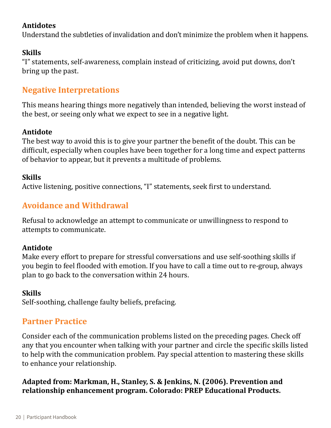#### **Antidotes**

Understand the subtleties of invalidation and don't minimize the problem when it happens.

#### **Skills**

"I" statements, self-awareness, complain instead of criticizing, avoid put downs, don't bring up the past.

## **Negative Interpretations**

This means hearing things more negatively than intended, believing the worst instead of the best, or seeing only what we expect to see in a negative light.

#### **Antidote**

The best way to avoid this is to give your partner the benefit of the doubt. This can be difficult, especially when couples have been together for a long time and expect patterns of behavior to appear, but it prevents a multitude of problems.

#### **Skills**

Active listening, positive connections, "I" statements, seek first to understand.

## **Avoidance and Withdrawal**

Refusal to acknowledge an attempt to communicate or unwillingness to respond to attempts to communicate.

#### **Antidote**

Make every effort to prepare for stressful conversations and use self-soothing skills if you begin to feel flooded with emotion. If you have to call a time out to re-group, always plan to go back to the conversation within 24 hours.

#### **Skills**

Self-soothing, challenge faulty beliefs, prefacing.

## **Partner Practice**

Consider each of the communication problems listed on the preceding pages. Check off any that you encounter when talking with your partner and circle the specific skills listed to help with the communication problem. Pay special attention to mastering these skills to enhance your relationship.

#### **Adapted from: Markman, H., Stanley, S. & Jenkins, N. (2006). Prevention and relationship enhancement program. Colorado: PREP Educational Products.**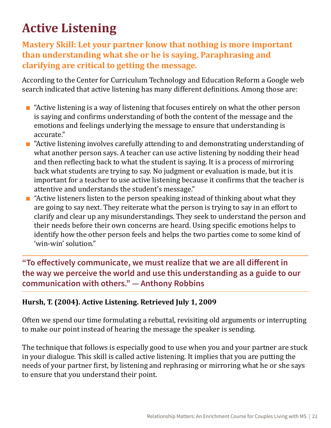# <span id="page-20-0"></span>**Active Listening**

## **Mastery Skill: Let your partner know that nothing is more important than understanding what she or he is saying. Paraphrasing and clarifying are critical to getting the message.**

According to the Center for Curriculum Technology and Education Reform a Google web search indicated that active listening has many different definitions. Among those are:

- $\blacksquare$  "Active listening is a way of listening that focuses entirely on what the other person is saying and confirms understanding of both the content of the message and the emotions and feelings underlying the message to ensure that understanding is accurate."
- $\blacksquare$  "Active listening involves carefully attending to and demonstrating understanding of what another person says. A teacher can use active listening by nodding their head and then reflecting back to what the student is saying. It is a process of mirroring back what students are trying to say. No judgment or evaluation is made, but it is important for a teacher to use active listening because it confirms that the teacher is attentive and understands the student's message."
- $\blacksquare$  "Active listeners listen to the person speaking instead of thinking about what they are going to say next. They reiterate what the person is trying to say in an effort to clarify and clear up any misunderstandings. They seek to understand the person and their needs before their own concerns are heard. Using specific emotions helps to identify how the other person feels and helps the two parties come to some kind of 'win-win' solution."

**"To effectively communicate, we must realize that we are all different in the way we perceive the world and use this understanding as a guide to our communication with others." — Anthony Robbins**

#### **Hursh, T. (2004). Active Listening. Retrieved July 1, 2009**

Often we spend our time formulating a rebuttal, revisiting old arguments or interrupting to make our point instead of hearing the message the speaker is sending.

The technique that follows is especially good to use when you and your partner are stuck in your dialogue. This skill is called active listening. It implies that you are putting the needs of your partner first, by listening and rephrasing or mirroring what he or she says to ensure that you understand their point.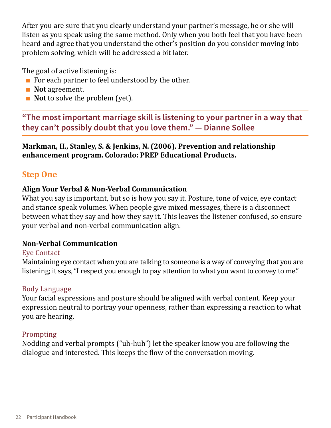After you are sure that you clearly understand your partner's message, he or she will listen as you speak using the same method. Only when you both feel that you have been heard and agree that you understand the other's position do you consider moving into problem solving, which will be addressed a bit later.

The goal of active listening is:

- For each partner to feel understood by the other.
- **Not** agreement.
- **Not** to solve the problem (yet).

**"The most important marriage skill is listening to your partner in a way that they can't possibly doubt that you love them." — Dianne Sollee**

#### **Markman, H., Stanley, S. & Jenkins, N. (2006). Prevention and relationship enhancement program. Colorado: PREP Educational Products.**

## **Step One**

#### **Align Your Verbal & Non-Verbal Communication**

What you say is important, but so is how you say it. Posture, tone of voice, eye contact and stance speak volumes. When people give mixed messages, there is a disconnect between what they say and how they say it. This leaves the listener confused, so ensure your verbal and non-verbal communication align.

#### **Non-Verbal Communication**

#### Eye Contact

Maintaining eye contact when you are talking to someone is a way of conveying that you are listening; it says, "I respect you enough to pay attention to what you want to convey to me."

#### Body Language

Your facial expressions and posture should be aligned with verbal content. Keep your expression neutral to portray your openness, rather than expressing a reaction to what you are hearing.

#### Prompting

Nodding and verbal prompts ("uh-huh") let the speaker know you are following the dialogue and interested. This keeps the flow of the conversation moving.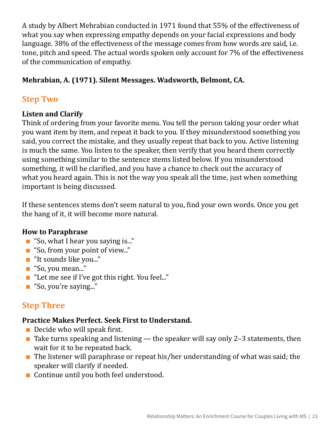A study by Albert Mehrabian conducted in 1971 found that 55% of the effectiveness of what you say when expressing empathy depends on your facial expressions and body language. 38% of the effectiveness of the message comes from how words are said, i.e. tone, pitch and speed. The actual words spoken only account for 7% of the effectiveness of the communication of empathy.

#### **Mehrabian, A. (1971). Silent Messages. Wadsworth, Belmont, CA.**

## **Step Two**

#### **Listen and Clarify**

Think of ordering from your favorite menu. You tell the person taking your order what you want item by item, and repeat it back to you. If they misunderstood something you said, you correct the mistake, and they usually repeat that back to you. Active listening is much the same. You listen to the speaker, then verify that you heard them correctly using something similar to the sentence stems listed below. If you misunderstood something, it will be clarified, and you have a chance to check out the accuracy of what you heard again. This is not the way you speak all the time, just when something important is being discussed.

If these sentences stems don't seem natural to you, find your own words. Once you get the hang of it, it will become more natural.

#### **How to Paraphrase**

- "So, what I hear you saying is..."
- "So, from your point of view..."
- "It sounds like you..."
- "So, you mean..."
- "Let me see if I've got this right. You feel..."
- "So, you're saying..."

## **Step Three**

#### **Practice Makes Perfect. Seek First to Understand.**

- $\blacksquare$  Decide who will speak first.
- $\blacksquare$  Take turns speaking and listening the speaker will say only 2-3 statements, then wait for it to be repeated back.
- $\blacksquare$  The listener will paraphrase or repeat his/her understanding of what was said; the speaker will clarify if needed.
- Continue until you both feel understood.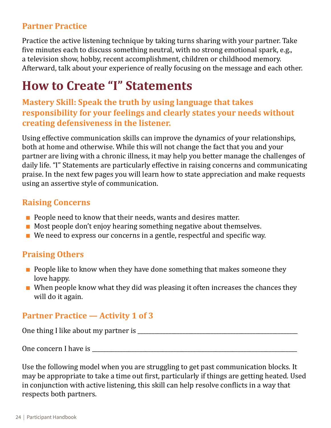## <span id="page-23-0"></span>**Partner Practice**

Practice the active listening technique by taking turns sharing with your partner. Take five minutes each to discuss something neutral, with no strong emotional spark, e.g., a television show, hobby, recent accomplishment, children or childhood memory. Afterward, talk about your experience of really focusing on the message and each other.

# **How to Create "I" Statements**

**Mastery Skill: Speak the truth by using language that takes responsibility for your feelings and clearly states your needs without creating defensiveness in the listener.**

Using effective communication skills can improve the dynamics of your relationships, both at home and otherwise. While this will not change the fact that you and your partner are living with a chronic illness, it may help you better manage the challenges of daily life. "I" Statements are particularly effective in raising concerns and communicating praise. In the next few pages you will learn how to state appreciation and make requests using an assertive style of communication.

#### **Raising Concerns**

- People need to know that their needs, wants and desires matter.
- $\blacksquare$  Most people don't enjoy hearing something negative about themselves.
- We need to express our concerns in a gentle, respectful and specific way.

## **Praising Others**

- $\blacksquare$  People like to know when they have done something that makes someone they love happy.
- When people know what they did was pleasing it often increases the chances they will do it again.

## **Partner Practice — Activity 1 of 3**

One thing I like about my partner is \_\_\_\_\_\_\_\_\_\_\_\_\_\_\_\_\_\_\_\_\_\_\_\_\_\_\_\_\_\_\_\_\_\_\_\_\_\_\_\_\_\_\_\_\_\_\_\_\_\_\_\_\_\_\_\_\_

One concern I have is  $\Box$ 

Use the following model when you are struggling to get past communication blocks. It may be appropriate to take a time out first, particularly if things are getting heated. Used in conjunction with active listening, this skill can help resolve conflicts in a way that respects both partners.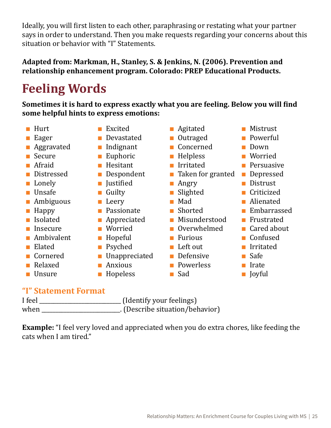<span id="page-24-0"></span>Ideally, you will first listen to each other, paraphrasing or restating what your partner says in order to understand. Then you make requests regarding your concerns about this situation or behavior with "I" Statements.

#### **Adapted from: Markman, H., Stanley, S. & Jenkins, N. (2006). Prevention and relationship enhancement program. Colorado: PREP Educational Products.**

# **Feeling Words**

**Sometimes it is hard to express exactly what you are feeling. Below you will find some helpful hints to express emotions:**

- Hurt
- Eager
- Aggravated
- Secure
- Afraid
- Distressed
- Lonely
- Unsafe
- Ambiguous
- Happy
- Isolated
- █ Insecure
- Ambivalent
- Elated
- Cornered
- Relaxed
- Unsure
- Excited
- Devastated
- Indignant
- Euphoric
- Hesitant
- Despondent
- Justified
- Guilty
- Leery
- Passionate
- Appreciated
- Worried
- Hopeful
- Psyched
- Unappreciated
- Anxious
- Hopeless
- Agitated
- Outraged
- Concerned
- Helpless
- Irritated
- Taken for granted
- Angry
- Slighted
- █ Mad
- Shorted
- Misunderstood
- Overwhelmed
- Furious
- Left out
- **Defensive**
- Powerless
- █ Sad
- Mistrust
- **Powerful**
- Down
- Worried
- **Persuasive**
- Depressed
- Distrust
- Criticized
- Alienated
- Embarrassed
- Frustrated
- Cared about
- Confused
- Irritated
- █ Safe
- Irate
- Joyful

#### **"I" Statement Format**

| I feel | (Identify your feelings)        |
|--------|---------------------------------|
| when   | . (Describe situation/behavior) |

**Example:** "I feel very loved and appreciated when you do extra chores, like feeding the cats when I am tired."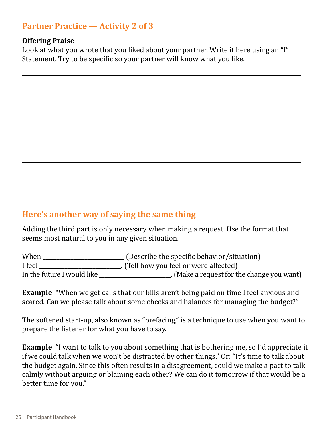## **Partner Practice — Activity 2 of 3**

#### **Offering Praise**

Look at what you wrote that you liked about your partner. Write it here using an "I" Statement. Try to be specific so your partner will know what you like.

## **Here's another way of saying the same thing**

Adding the third part is only necessary when making a request. Use the format that seems most natural to you in any given situation.

| When                       | (Describe the specific behavior/situation) |
|----------------------------|--------------------------------------------|
| I feel                     | . (Tell how you feel or were affected)     |
| In the future I would like | . (Make a request for the change you want) |

**Example**: "When we get calls that our bills aren't being paid on time I feel anxious and scared. Can we please talk about some checks and balances for managing the budget?"

The softened start-up, also known as "prefacing," is a technique to use when you want to prepare the listener for what you have to say.

**Example**: "I want to talk to you about something that is bothering me, so I'd appreciate it if we could talk when we won't be distracted by other things." Or: "It's time to talk about the budget again. Since this often results in a disagreement, could we make a pact to talk calmly without arguing or blaming each other? We can do it tomorrow if that would be a better time for you."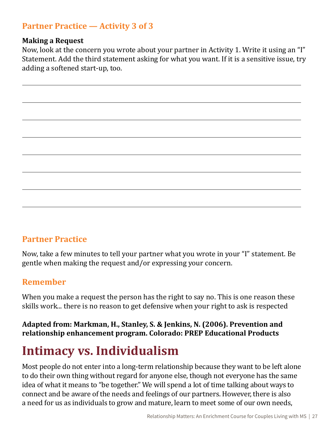## <span id="page-26-0"></span>**Partner Practice — Activity 3 of 3**

#### **Making a Request**

Now, look at the concern you wrote about your partner in Activity 1. Write it using an "I" Statement. Add the third statement asking for what you want. If it is a sensitive issue, try adding a softened start-up, too.

## **Partner Practice**

Now, take a few minutes to tell your partner what you wrote in your "I" statement. Be gentle when making the request and/or expressing your concern.

#### **Remember**

When you make a request the person has the right to say no. This is one reason these skills work... there is no reason to get defensive when your right to ask is respected

#### **Adapted from: Markman, H., Stanley, S. & Jenkins, N. (2006). Prevention and relationship enhancement program. Colorado: PREP Educational Products**

# **Intimacy vs. Individualism**

Most people do not enter into a long-term relationship because they want to be left alone to do their own thing without regard for anyone else, though not everyone has the same idea of what it means to "be together." We will spend a lot of time talking about ways to connect and be aware of the needs and feelings of our partners. However, there is also a need for us as individuals to grow and mature, learn to meet some of our own needs,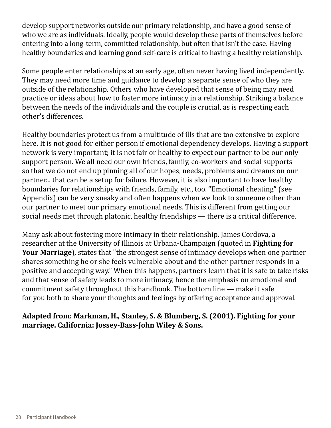develop support networks outside our primary relationship, and have a good sense of who we are as individuals. Ideally, people would develop these parts of themselves before entering into a long-term, committed relationship, but often that isn't the case. Having healthy boundaries and learning good self-care is critical to having a healthy relationship.

Some people enter relationships at an early age, often never having lived independently. They may need more time and guidance to develop a separate sense of who they are outside of the relationship. Others who have developed that sense of being may need practice or ideas about how to foster more intimacy in a relationship. Striking a balance between the needs of the individuals and the couple is crucial, as is respecting each other's differences.

Healthy boundaries protect us from a multitude of ills that are too extensive to explore here. It is not good for either person if emotional dependency develops. Having a support network is very important; it is not fair or healthy to expect our partner to be our only support person. We all need our own friends, family, co-workers and social supports so that we do not end up pinning all of our hopes, needs, problems and dreams on our partner... that can be a setup for failure. However, it is also important to have healthy boundaries for relationships with friends, family, etc., too. "Emotional cheating" (see Appendix) can be very sneaky and often happens when we look to someone other than our partner to meet our primary emotional needs. This is different from getting our social needs met through platonic, healthy friendships — there is a critical difference.

Many ask about fostering more intimacy in their relationship. James Cordova, a researcher at the University of Illinois at Urbana-Champaign (quoted in **Fighting for Your Marriage**), states that "the strongest sense of intimacy develops when one partner shares something he or she feels vulnerable about and the other partner responds in a positive and accepting way." When this happens, partners learn that it is safe to take risks and that sense of safety leads to more intimacy, hence the emphasis on emotional and commitment safety throughout this handbook. The bottom line — make it safe for you both to share your thoughts and feelings by offering acceptance and approval.

#### **Adapted from: Markman, H., Stanley, S. & Blumberg, S. (2001). Fighting for your marriage. California: Jossey-Bass-John Wiley & Sons.**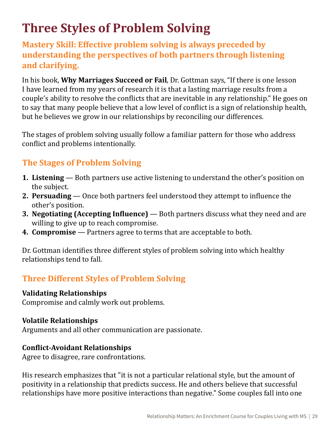# <span id="page-28-0"></span>**Three Styles of Problem Solving**

**Mastery Skill: Effective problem solving is always preceded by understanding the perspectives of both partners through listening and clarifying.**

In his book, **Why Marriages Succeed or Fail**, Dr. Gottman says, "If there is one lesson I have learned from my years of research it is that a lasting marriage results from a couple's ability to resolve the conflicts that are inevitable in any relationship." He goes on to say that many people believe that a low level of conflict is a sign of relationship health, but he believes we grow in our relationships by reconciling our differences.

The stages of problem solving usually follow a familiar pattern for those who address conflict and problems intentionally.

## **The Stages of Problem Solving**

- **1. Listening** Both partners use active listening to understand the other's position on the subject.
- **2. Persuading** Once both partners feel understood they attempt to influence the other's position.
- **3. Negotiating (Accepting Influence)**  Both partners discuss what they need and are willing to give up to reach compromise.
- **4. Compromise** Partners agree to terms that are acceptable to both.

Dr. Gottman identifies three different styles of problem solving into which healthy relationships tend to fall.

## **Three Different Styles of Problem Solving**

#### **Validating Relationships**

Compromise and calmly work out problems.

#### **Volatile Relationships**

Arguments and all other communication are passionate.

#### **Conflict-Avoidant Relationships**

Agree to disagree, rare confrontations.

His research emphasizes that "it is not a particular relational style, but the amount of positivity in a relationship that predicts success. He and others believe that successful relationships have more positive interactions than negative." Some couples fall into one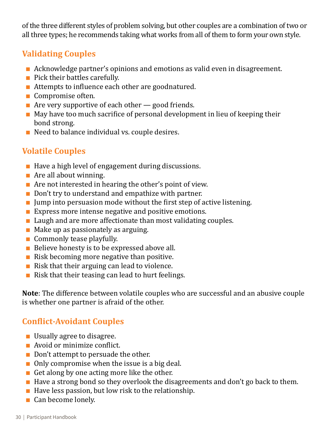of the three different styles of problem solving, but other couples are a combination of two or all three types; he recommends taking what works from all of them to form your own style.

## **Validating Couples**

- Acknowledge partner's opinions and emotions as valid even in disagreement.
- Pick their battles carefully.
- Attempts to influence each other are goodnatured.
- Compromise often.
- **E** Are very supportive of each other  $\rightarrow$  good friends.
- May have too much sacrifice of personal development in lieu of keeping their bond strong.
- Need to balance individual vs. couple desires.

## **Volatile Couples**

- Have a high level of engagement during discussions.
- $\blacksquare$  Are all about winning.
- $\blacksquare$  Are not interested in hearing the other's point of view.
- Don't try to understand and empathize with partner.
- $\blacksquare$  Jump into persuasion mode without the first step of active listening.
- **Express more intense negative and positive emotions.**
- $\blacksquare$  Laugh and are more affectionate than most validating couples.
- $\blacksquare$  Make up as passionately as arguing.
- Commonly tease playfully.
- Believe honesty is to be expressed above all.
- $\blacksquare$  Risk becoming more negative than positive.
- $\blacksquare$  Risk that their arguing can lead to violence.
- Risk that their teasing can lead to hurt feelings.

**Note**: The difference between volatile couples who are successful and an abusive couple is whether one partner is afraid of the other.

## **Conflict-Avoidant Couples**

- Usually agree to disagree.
- Avoid or minimize conflict.
- Don't attempt to persuade the other.
- $\blacksquare$  Only compromise when the issue is a big deal.
- $\blacksquare$  Get along by one acting more like the other.
- Have a strong bond so they overlook the disagreements and don't go back to them.
- $\blacksquare$  Have less passion, but low risk to the relationship.
- Can become lonely.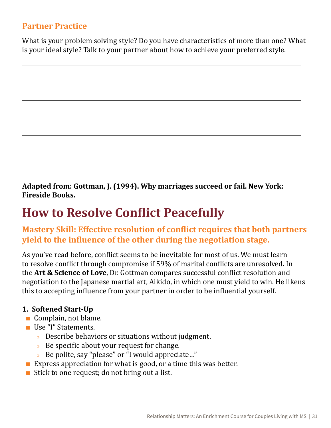#### <span id="page-30-0"></span>**Partner Practice**

What is your problem solving style? Do you have characteristics of more than one? What is your ideal style? Talk to your partner about how to achieve your preferred style.

**Adapted from: Gottman, J. (1994). Why marriages succeed or fail. New York: Fireside Books.**

## **How to Resolve Conflict Peacefully**

## **Mastery Skill: Effective resolution of conflict requires that both partners yield to the influence of the other during the negotiation stage.**

As you've read before, conflict seems to be inevitable for most of us. We must learn to resolve conflict through compromise if 59% of marital conflicts are unresolved. In the **Art & Science of Love**, Dr. Gottman compares successful conflict resolution and negotiation to the Japanese martial art, Aikido, in which one must yield to win. He likens this to accepting influence from your partner in order to be influential yourself.

#### **1. Softened Start-Up**

- Complain, not blame.
- Use "I" Statements.
	- » Describe behaviors or situations without judgment.
	- » Be specific about your request for change.
	- » Be polite, say "please" or "I would appreciate…"
- **Express appreciation for what is good, or a time this was better.**
- $\blacksquare$  Stick to one request; do not bring out a list.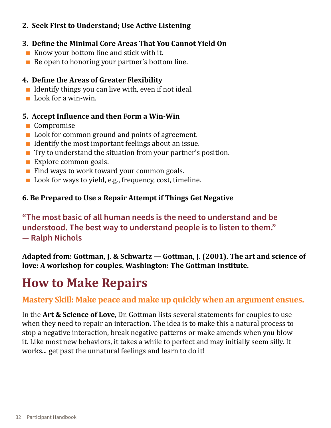#### <span id="page-31-0"></span>**2. Seek First to Understand; Use Active Listening**

#### **3. Define the Minimal Core Areas That You Cannot Yield On**

- $\blacksquare$  Know your bottom line and stick with it.
- Be open to honoring your partner's bottom line.

#### **4. Define the Areas of Greater Flexibility**

- $\blacksquare$  Identify things you can live with, even if not ideal.
- Look for a win-win.

#### **5. Accept Influence and then Form a Win-Win**

- Compromise
- Look for common ground and points of agreement.
- $\blacksquare$  Identify the most important feelings about an issue.
- Try to understand the situation from your partner's position.
- Explore common goals.
- $\blacksquare$  Find ways to work toward your common goals.
- Look for ways to yield, e.g., frequency, cost, timeline.

#### **6. Be Prepared to Use a Repair Attempt if Things Get Negative**

**"The most basic of all human needs is the need to understand and be understood. The best way to understand people is to listen to them." — Ralph Nichols**

**Adapted from: Gottman, J. & Schwartz — Gottman, J. (2001). The art and science of love: A workshop for couples. Washington: The Gottman Institute.**

# **How to Make Repairs**

## **Mastery Skill: Make peace and make up quickly when an argument ensues.**

In the **Art & Science of Love**, Dr. Gottman lists several statements for couples to use when they need to repair an interaction. The idea is to make this a natural process to stop a negative interaction, break negative patterns or make amends when you blow it. Like most new behaviors, it takes a while to perfect and may initially seem silly. It works... get past the unnatural feelings and learn to do it!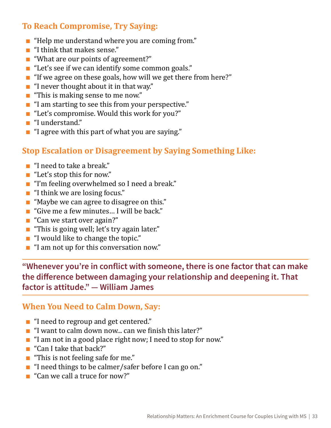## **To Reach Compromise, Try Saying:**

- "Help me understand where you are coming from."
- "I think that makes sense."
- "What are our points of agreement?"
- "Let's see if we can identify some common goals."
- "If we agree on these goals, how will we get there from here?"
- $\blacksquare$  "I never thought about it in that way."
- "This is making sense to me now."
- "I am starting to see this from your perspective."
- "Let's compromise. Would this work for you?"
- "I understand."
- "I agree with this part of what you are saying."

## **Stop Escalation or Disagreement by Saying Something Like:**

- "I need to take a break."
- "Let's stop this for now."
- "I'm feeling overwhelmed so I need a break."
- "I think we are losing focus."
- "Maybe we can agree to disagree on this."
- "Give me a few minutes... I will be back."
- "Can we start over again?"
- "This is going well; let's try again later."
- "I would like to change the topic."
- "I am not up for this conversation now."

**"Whenever you're in conflict with someone, there is one factor that can make the difference between damaging your relationship and deepening it. That factor is attitude." — William James**

#### **When You Need to Calm Down, Say:**

- "I need to regroup and get centered."
- "I want to calm down now... can we finish this later?"
- "I am not in a good place right now; I need to stop for now."
- "Can I take that back?"
- "This is not feeling safe for me."
- "I need things to be calmer/safer before I can go on."
- "Can we call a truce for now?"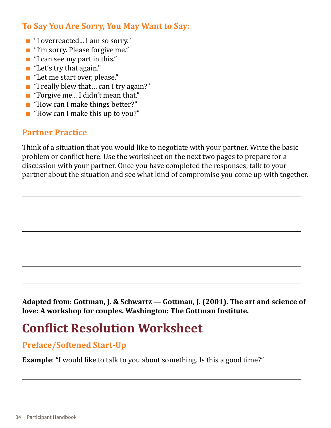## <span id="page-33-0"></span>**To Say You Are Sorry, You May Want to Say:**

- "I overreacted... I am so sorry."
- "I'm sorry. Please forgive me."
- "I can see my part in this."
- "Let's try that again."
- "Let me start over, please."
- "I really blew that ... can I try again?"
- "Forgive me... I didn't mean that."
- "How can I make things better?"
- $\blacksquare$  "How can I make this up to you?"

## **Partner Practice**

Think of a situation that you would like to negotiate with your partner. Write the basic problem or conflict here. Use the worksheet on the next two pages to prepare for a discussion with your partner. Once you have completed the responses, talk to your partner about the situation and see what kind of compromise you come up with together.

**Adapted from: Gottman, J. & Schwartz — Gottman, J. (2001). The art and science of love: A workshop for couples. Washington: The Gottman Institute.** 

# **Conflict Resolution Worksheet**

## **Preface/Softened Start-Up**

**Example**: "I would like to talk to you about something. Is this a good time?"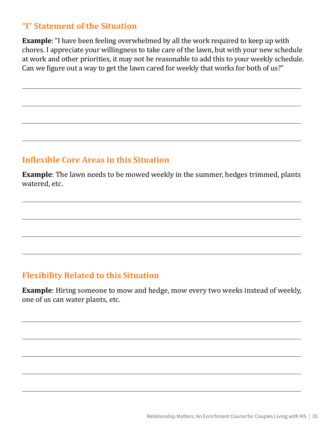## **"I" Statement of the Situation**

**Example**: "I have been feeling overwhelmed by all the work required to keep up with chores. I appreciate your willingness to take care of the lawn, but with your new schedule at work and other priorities, it may not be reasonable to add this to your weekly schedule. Can we figure out a way to get the lawn cared for weekly that works for both of us?"

## **Inflexible Core Areas in this Situation**

**Example**: The lawn needs to be mowed weekly in the summer, hedges trimmed, plants watered, etc.

## **Flexibility Related to this Situation**

**Example**: Hiring someone to mow and hedge, mow every two weeks instead of weekly, one of us can water plants, etc.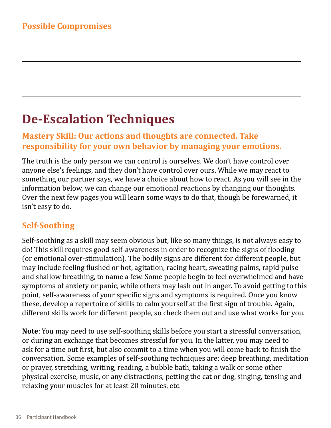# <span id="page-35-0"></span>**De-Escalation Techniques**

## **Mastery Skill: Our actions and thoughts are connected. Take responsibility for your own behavior by managing your emotions.**

The truth is the only person we can control is ourselves. We don't have control over anyone else's feelings, and they don't have control over ours. While we may react to something our partner says, we have a choice about how to react. As you will see in the information below, we can change our emotional reactions by changing our thoughts. Over the next few pages you will learn some ways to do that, though be forewarned, it isn't easy to do.

## **Self-Soothing**

Self-soothing as a skill may seem obvious but, like so many things, is not always easy to do! This skill requires good self-awareness in order to recognize the signs of flooding (or emotional over-stimulation). The bodily signs are different for different people, but may include feeling flushed or hot, agitation, racing heart, sweating palms, rapid pulse and shallow breathing, to name a few. Some people begin to feel overwhelmed and have symptoms of anxiety or panic, while others may lash out in anger. To avoid getting to this point, self-awareness of your specific signs and symptoms is required. Once you know these, develop a repertoire of skills to calm yourself at the first sign of trouble. Again, different skills work for different people, so check them out and use what works for you.

**Note**: You may need to use self-soothing skills before you start a stressful conversation, or during an exchange that becomes stressful for you. In the latter, you may need to ask for a time out first, but also commit to a time when you will come back to finish the conversation. Some examples of self-soothing techniques are: deep breathing, meditation or prayer, stretching, writing, reading, a bubble bath, taking a walk or some other physical exercise, music, or any distractions, petting the cat or dog, singing, tensing and relaxing your muscles for at least 20 minutes, etc.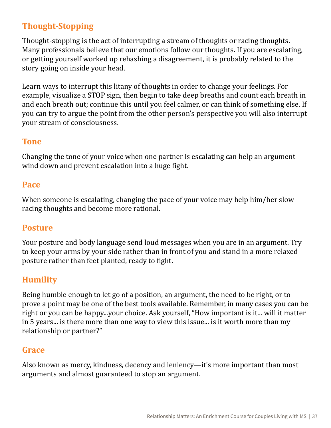## **Thought-Stopping**

Thought-stopping is the act of interrupting a stream of thoughts or racing thoughts. Many professionals believe that our emotions follow our thoughts. If you are escalating, or getting yourself worked up rehashing a disagreement, it is probably related to the story going on inside your head.

Learn ways to interrupt this litany of thoughts in order to change your feelings. For example, visualize a STOP sign, then begin to take deep breaths and count each breath in and each breath out; continue this until you feel calmer, or can think of something else. If you can try to argue the point from the other person's perspective you will also interrupt your stream of consciousness.

#### **Tone**

Changing the tone of your voice when one partner is escalating can help an argument wind down and prevent escalation into a huge fight.

#### **Pace**

When someone is escalating, changing the pace of your voice may help him/her slow racing thoughts and become more rational.

## **Posture**

Your posture and body language send loud messages when you are in an argument. Try to keep your arms by your side rather than in front of you and stand in a more relaxed posture rather than feet planted, ready to fight.

## **Humility**

Being humble enough to let go of a position, an argument, the need to be right, or to prove a point may be one of the best tools available. Remember, in many cases you can be right or you can be happy...your choice. Ask yourself, "How important is it... will it matter in 5 years... is there more than one way to view this issue... is it worth more than my relationship or partner?"

## **Grace**

Also known as mercy, kindness, decency and leniency—it's more important than most arguments and almost guaranteed to stop an argument.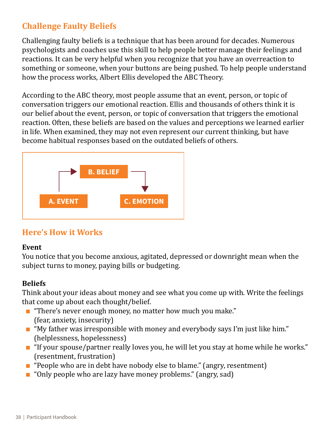## **Challenge Faulty Beliefs**

Challenging faulty beliefs is a technique that has been around for decades. Numerous psychologists and coaches use this skill to help people better manage their feelings and reactions. It can be very helpful when you recognize that you have an overreaction to something or someone, when your buttons are being pushed. To help people understand how the process works, Albert Ellis developed the ABC Theory.

According to the ABC theory, most people assume that an event, person, or topic of conversation triggers our emotional reaction. Ellis and thousands of others think it is our belief about the event, person, or topic of conversation that triggers the emotional reaction. Often, these beliefs are based on the values and perceptions we learned earlier in life. When examined, they may not even represent our current thinking, but have become habitual responses based on the outdated beliefs of others.



## **Here's How it Works**

#### **Event**

You notice that you become anxious, agitated, depressed or downright mean when the subject turns to money, paying bills or budgeting.

#### **Beliefs**

Think about your ideas about money and see what you come up with. Write the feelings that come up about each thought/belief.

- "There's never enough money, no matter how much you make." (fear, anxiety, insecurity)
- "My father was irresponsible with money and everybody says I'm just like him." (helplessness, hopelessness)
- "If your spouse/partner really loves you, he will let you stay at home while he works." (resentment, frustration)
- "People who are in debt have nobody else to blame." (angry, resentment)
- "Only people who are lazy have money problems." (angry, sad)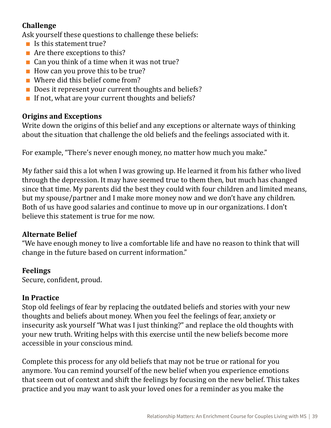#### **Challenge**

Ask yourself these questions to challenge these beliefs:

- $\blacksquare$  Is this statement true?
- $\blacksquare$  Are there exceptions to this?
- $\blacksquare$  Can you think of a time when it was not true?
- How can you prove this to be true?
- Where did this belief come from?
- Does it represent your current thoughts and beliefs?
- $\blacksquare$  If not, what are your current thoughts and beliefs?

#### **Origins and Exceptions**

Write down the origins of this belief and any exceptions or alternate ways of thinking about the situation that challenge the old beliefs and the feelings associated with it.

For example, "There's never enough money, no matter how much you make."

My father said this a lot when I was growing up. He learned it from his father who lived through the depression. It may have seemed true to them then, but much has changed since that time. My parents did the best they could with four children and limited means, but my spouse/partner and I make more money now and we don't have any children. Both of us have good salaries and continue to move up in our organizations. I don't believe this statement is true for me now.

#### **Alternate Belief**

"We have enough money to live a comfortable life and have no reason to think that will change in the future based on current information."

#### **Feelings**

Secure, confident, proud.

#### **In Practice**

Stop old feelings of fear by replacing the outdated beliefs and stories with your new thoughts and beliefs about money. When you feel the feelings of fear, anxiety or insecurity ask yourself "What was I just thinking?" and replace the old thoughts with your new truth. Writing helps with this exercise until the new beliefs become more accessible in your conscious mind.

Complete this process for any old beliefs that may not be true or rational for you anymore. You can remind yourself of the new belief when you experience emotions that seem out of context and shift the feelings by focusing on the new belief. This takes practice and you may want to ask your loved ones for a reminder as you make the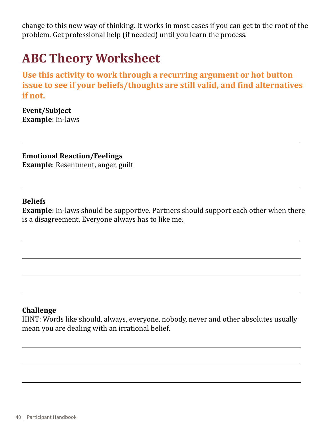<span id="page-39-0"></span>change to this new way of thinking. It works in most cases if you can get to the root of the problem. Get professional help (if needed) until you learn the process.

# **ABC Theory Worksheet**

**Use this activity to work through a recurring argument or hot button issue to see if your beliefs/thoughts are still valid, and find alternatives if not.**

**Event/Subject Example**: In-laws

**Emotional Reaction/Feelings Example**: Resentment, anger, guilt

#### **Beliefs**

**Example**: In-laws should be supportive. Partners should support each other when there is a disagreement. Everyone always has to like me.

#### **Challenge**

HINT: Words like should, always, everyone, nobody, never and other absolutes usually mean you are dealing with an irrational belief.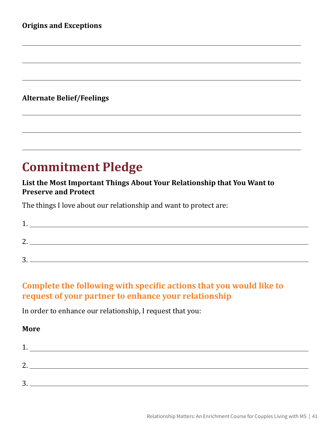#### <span id="page-40-0"></span>**Alternate Belief/Feelings**

# **Commitment Pledge**

#### **List the Most Important Things About Your Relationship that You Want to Preserve and Protect**

The things I love about our relationship and want to protect are:

| ∽<br><b>.</b> |  |
|---------------|--|
| ำ<br><u>.</u> |  |
| 2<br>ັ        |  |

## **Complete the following with specific actions that you would like to request of your partner to enhance your relationship**

In order to enhance our relationship, I request that you:

#### **More**

| ി<br><u>.</u> |  |
|---------------|--|
| 2<br>ັ        |  |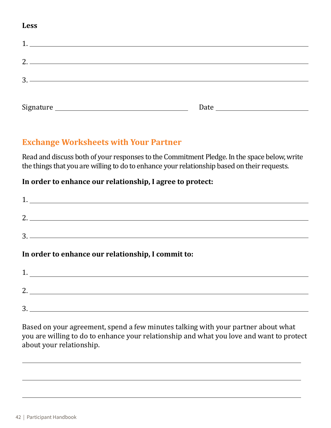#### **Less**

| 1.<br><u> 1980 - Andrea State Barbara, amerikan personal di sebagai personal di sebagai personal di sebagai personal di</u> |      |
|-----------------------------------------------------------------------------------------------------------------------------|------|
|                                                                                                                             |      |
|                                                                                                                             |      |
| <u> 1989 - Andrea Barbara, poeta esperanto-poeta esperanto-poeta esperanto-poeta esperanto-poeta esperanto-poeta</u><br>3.  |      |
|                                                                                                                             |      |
|                                                                                                                             | Date |

#### **Exchange Worksheets with Your Partner**

Read and discuss both of your responses to the Commitment Pledge. In the space below, write the things that you are willing to do to enhance your relationship based on their requests.

#### **In order to enhance our relationship, I agree to protect:**

| $\begin{array}{c} \hline \text{3.} \end{array}$    |
|----------------------------------------------------|
|                                                    |
| In order to enhance our relationship, I commit to: |
|                                                    |

3.

Based on your agreement, spend a few minutes talking with your partner about what you are willing to do to enhance your relationship and what you love and want to protect about your relationship.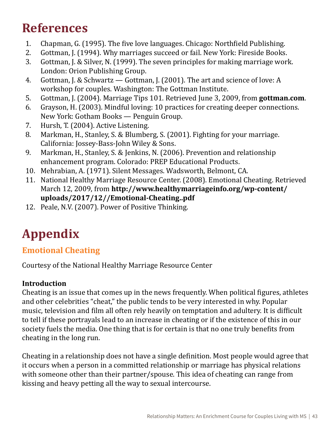# <span id="page-42-0"></span>**References**

- 
- 1. Chapman, G. (1995). The five love languages. Chicago: Northfield Publishing.<br>2. Gottman. I. (1994). Why marriages succeed or fail. New York: Fireside Books. 2. Gottman, J. (1994). Why marriages succeed or fail. New York: Fireside Books.<br>3. Gottman, J. & Silver, N. (1999). The seven principles for making marriage wor
- 3. Gottman, J. & Silver, N. (1999). The seven principles for making marriage work. London: Orion Publishing Group.
- 4. Gottman, J. & Schwartz Gottman, J. (2001). The art and science of love: A workshop for couples. Washington: The Gottman Institute.
- 5. Gottman, J. (2004). Marriage Tips 101. Retrieved June 3, 2009, from **[gottman.com](http://gottman.com)**.
- 6. Grayson, H. (2003). Mindful loving: 10 practices for creating deeper connections. New York: Gotham Books — Penguin Group.
- 7. Hursh, T. (2004). Active Listening.<br>8. Markman. H.. Stanlev. S. & Blumbe
- Markman, H., Stanley, S. & Blumberg, S. (2001). Fighting for your marriage. California: Jossey-Bass-John Wiley & Sons.
- 9. Markman, H., Stanley, S. & Jenkins, N. (2006). Prevention and relationship enhancement program. Colorado: PREP Educational Products.
- 10. Mehrabian, A. (1971). Silent Messages. Wadsworth, Belmont, CA.
- 11. National Healthy Marriage Resource Center. (2008). Emotional Cheating. Retrieved March 12, 2009, from **[http://www.healthymarriageinfo.org/wp-content/](http://www.healthymarriageinfo.org/wp-content/uploads/2017/12//Emotional-Cheating..pdf) [uploads/2017/12//Emotional-Cheating..pdf](http://www.healthymarriageinfo.org/wp-content/uploads/2017/12//Emotional-Cheating..pdf)**
- 12. Peale, N.V. (2007). Power of Positive Thinking.

# **Appendix**

## **Emotional Cheating**

Courtesy of the National Healthy Marriage Resource Center

## **Introduction**

Cheating is an issue that comes up in the news frequently. When political figures, athletes and other celebrities "cheat," the public tends to be very interested in why. Popular music, television and film all often rely heavily on temptation and adultery. It is difficult to tell if these portrayals lead to an increase in cheating or if the existence of this in our society fuels the media. One thing that is for certain is that no one truly benefits from cheating in the long run.

Cheating in a relationship does not have a single definition. Most people would agree that it occurs when a person in a committed relationship or marriage has physical relations with someone other than their partner/spouse. This idea of cheating can range from kissing and heavy petting all the way to sexual intercourse.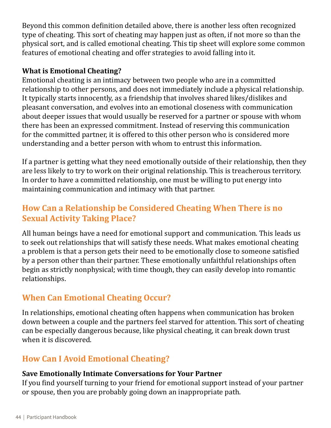Beyond this common definition detailed above, there is another less often recognized type of cheating. This sort of cheating may happen just as often, if not more so than the physical sort, and is called emotional cheating. This tip sheet will explore some common features of emotional cheating and offer strategies to avoid falling into it.

#### **What is Emotional Cheating?**

Emotional cheating is an intimacy between two people who are in a committed relationship to other persons, and does not immediately include a physical relationship. It typically starts innocently, as a friendship that involves shared likes/dislikes and pleasant conversation, and evolves into an emotional closeness with communication about deeper issues that would usually be reserved for a partner or spouse with whom there has been an expressed commitment. Instead of reserving this communication for the committed partner, it is offered to this other person who is considered more understanding and a better person with whom to entrust this information.

If a partner is getting what they need emotionally outside of their relationship, then they are less likely to try to work on their original relationship. This is treacherous territory. In order to have a committed relationship, one must be willing to put energy into maintaining communication and intimacy with that partner.

## **How Can a Relationship be Considered Cheating When There is no Sexual Activity Taking Place?**

All human beings have a need for emotional support and communication. This leads us to seek out relationships that will satisfy these needs. What makes emotional cheating a problem is that a person gets their need to be emotionally close to someone satisfied by a person other than their partner. These emotionally unfaithful relationships often begin as strictly nonphysical; with time though, they can easily develop into romantic relationships.

## **When Can Emotional Cheating Occur?**

In relationships, emotional cheating often happens when communication has broken down between a couple and the partners feel starved for attention. This sort of cheating can be especially dangerous because, like physical cheating, it can break down trust when it is discovered.

## **How Can I Avoid Emotional Cheating?**

#### **Save Emotionally Intimate Conversations for Your Partner**

If you find yourself turning to your friend for emotional support instead of your partner or spouse, then you are probably going down an inappropriate path.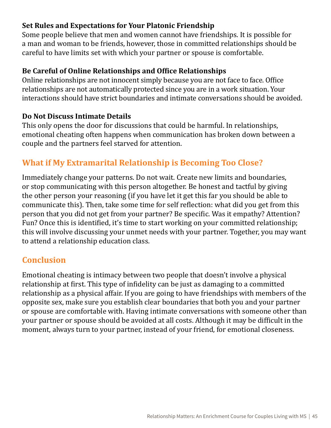#### **Set Rules and Expectations for Your Platonic Friendship**

Some people believe that men and women cannot have friendships. It is possible for a man and woman to be friends, however, those in committed relationships should be careful to have limits set with which your partner or spouse is comfortable.

#### **Be Careful of Online Relationships and Office Relationships**

Online relationships are not innocent simply because you are not face to face. Office relationships are not automatically protected since you are in a work situation. Your interactions should have strict boundaries and intimate conversations should be avoided.

#### **Do Not Discuss Intimate Details**

This only opens the door for discussions that could be harmful. In relationships, emotional cheating often happens when communication has broken down between a couple and the partners feel starved for attention.

## **What if My Extramarital Relationship is Becoming Too Close?**

Immediately change your patterns. Do not wait. Create new limits and boundaries, or stop communicating with this person altogether. Be honest and tactful by giving the other person your reasoning (if you have let it get this far you should be able to communicate this). Then, take some time for self reflection: what did you get from this person that you did not get from your partner? Be specific. Was it empathy? Attention? Fun? Once this is identified, it's time to start working on your committed relationship; this will involve discussing your unmet needs with your partner. Together, you may want to attend a relationship education class.

## **Conclusion**

Emotional cheating is intimacy between two people that doesn't involve a physical relationship at first. This type of infidelity can be just as damaging to a committed relationship as a physical affair. If you are going to have friendships with members of the opposite sex, make sure you establish clear boundaries that both you and your partner or spouse are comfortable with. Having intimate conversations with someone other than your partner or spouse should be avoided at all costs. Although it may be difficult in the moment, always turn to your partner, instead of your friend, for emotional closeness.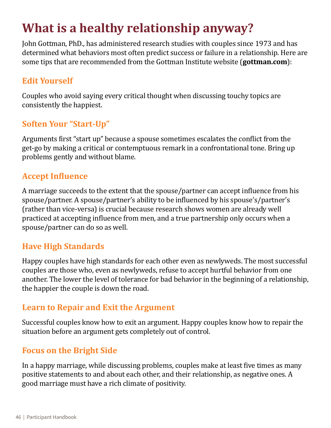# <span id="page-45-0"></span>**What is a healthy relationship anyway?**

John Gottman, PhD., has administered research studies with couples since 1973 and has determined what behaviors most often predict success or failure in a relationship. Here are some tips that are recommended from the Gottman Institute website (**[gottman.com](http://gottman.com)**):

## **Edit Yourself**

Couples who avoid saying every critical thought when discussing touchy topics are consistently the happiest.

## **Soften Your "Start-Up"**

Arguments first "start up" because a spouse sometimes escalates the conflict from the get-go by making a critical or contemptuous remark in a confrontational tone. Bring up problems gently and without blame.

## **Accept Influence**

A marriage succeeds to the extent that the spouse/partner can accept influence from his spouse/partner. A spouse/partner's ability to be influenced by his spouse's/partner's (rather than vice-versa) is crucial because research shows women are already well practiced at accepting influence from men, and a true partnership only occurs when a spouse/partner can do so as well.

## **Have High Standards**

Happy couples have high standards for each other even as newlyweds. The most successful couples are those who, even as newlyweds, refuse to accept hurtful behavior from one another. The lower the level of tolerance for bad behavior in the beginning of a relationship, the happier the couple is down the road.

## **Learn to Repair and Exit the Argument**

Successful couples know how to exit an argument. Happy couples know how to repair the situation before an argument gets completely out of control.

## **Focus on the Bright Side**

In a happy marriage, while discussing problems, couples make at least five times as many positive statements to and about each other, and their relationship, as negative ones. A good marriage must have a rich climate of positivity.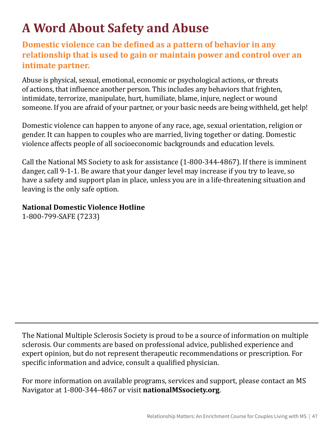# <span id="page-46-0"></span>**A Word About Safety and Abuse**

## **Domestic violence can be defined as a pattern of behavior in any relationship that is used to gain or maintain power and control over an intimate partner.**

Abuse is physical, sexual, emotional, economic or psychological actions, or threats of actions, that influence another person. This includes any behaviors that frighten, intimidate, terrorize, manipulate, hurt, humiliate, blame, injure, neglect or wound someone. If you are afraid of your partner, or your basic needs are being withheld, get help!

Domestic violence can happen to anyone of any race, age, sexual orientation, religion or gender. It can happen to couples who are married, living together or dating. Domestic violence affects people of all socioeconomic backgrounds and education levels.

Call the National MS Society to ask for assistance (1-800-344-4867). If there is imminent danger, call 9-1-1. Be aware that your danger level may increase if you try to leave, so have a safety and support plan in place, unless you are in a life-threatening situation and leaving is the only safe option.

**National Domestic Violence Hotline**

1-800-799-SAFE (7233)

The National Multiple Sclerosis Society is proud to be a source of information on multiple sclerosis. Our comments are based on professional advice, published experience and expert opinion, but do not represent therapeutic recommendations or prescription. For specific information and advice, consult a qualified physician.

For more information on available programs, services and support, please contact an MS Navigator at 1-800-344-4867 or visit **[nationalMSsociety.org](http://nationalMSsociety.org)**.